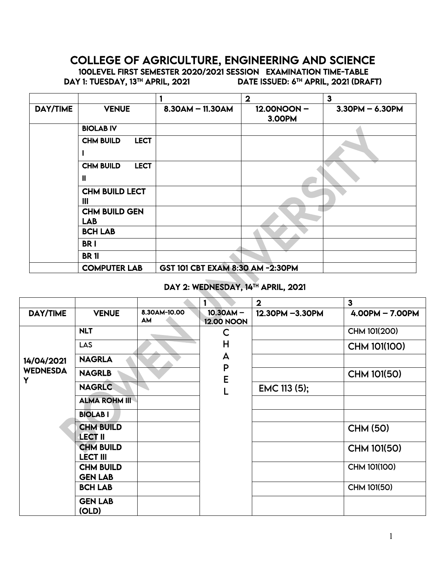# COLLEGE OF AGRICULTURE, ENGINEERING AND SCIENCE

100LEVEL FIRST SEMESTER 2020/2021 SESSION EXAMINATION TIME-TABLE<br>DAY 1: TUESDAY, 13™ APRIL, 2021 DATE ISSUED: 6™ APRIL, 2021 (DRAI

DATE ISSUED: 6<sup>TH</sup> APRIL, 2021 (DRAFT)

|                 |                                      |                                  | $\mathbf 2$          | $\mathbf{3}$      |
|-----------------|--------------------------------------|----------------------------------|----------------------|-------------------|
| <b>DAY/TIME</b> | <b>VENUE</b>                         | $8.30$ AM - 11.30AM              | 12.00NOON-<br>3.00PM | $3.30PM - 6.30PM$ |
|                 | <b>BIOLAB IV</b>                     |                                  |                      |                   |
|                 | <b>LECT</b><br><b>CHM BUILD</b>      |                                  |                      |                   |
|                 | <b>LECT</b><br><b>CHM BUILD</b><br>Ш |                                  |                      |                   |
|                 | <b>CHM BUILD LECT</b><br>Ш           |                                  |                      |                   |
|                 | <b>CHM BUILD GEN</b><br><b>LAB</b>   |                                  |                      |                   |
|                 | <b>BCH LAB</b>                       |                                  |                      |                   |
|                 | <b>BRI</b>                           |                                  |                      |                   |
|                 | <b>BR11</b>                          |                                  |                      |                   |
|                 | <b>COMPUTER LAB</b>                  | GST 101 CBT EXAM 8:30 AM -2:30PM |                      |                   |

# DAY 2: WEDNESDAY, 14<sup>TH</sup> APRIL, 2021

|                      |                                     |                           |                                  | $\mathbf{2}$    | $\overline{\mathbf{3}}$ |
|----------------------|-------------------------------------|---------------------------|----------------------------------|-----------------|-------------------------|
| <b>DAY/TIME</b>      | <b>VENUE</b>                        | 8.30AM-10.00<br><b>AM</b> | $10.30AM -$<br><b>12.00 NOON</b> | 12.30PM -3.30PM | $4.00PM - 7.00PM$       |
|                      | <b>NLT</b>                          |                           | C                                |                 | CHM 101(200)            |
|                      | <b>LAS</b>                          |                           | H                                |                 | CHM 101(100)            |
| 14/04/2021           | <b>NAGRLA</b>                       |                           | A                                |                 |                         |
| <b>WEDNESDA</b><br>Y | <b>NAGRLB</b>                       |                           | P<br>E                           |                 | CHM 101(50)             |
|                      | <b>NAGRLC</b>                       |                           |                                  | EMC 113 (5);    |                         |
|                      | <b>ALMA ROHM III</b>                |                           |                                  |                 |                         |
|                      | <b>BIOLABI</b>                      |                           |                                  |                 |                         |
|                      | <b>CHM BUILD</b><br><b>LECT II</b>  |                           |                                  |                 | <b>CHM (50)</b>         |
|                      | <b>CHM BUILD</b><br><b>LECT III</b> |                           |                                  |                 | CHM 101(50)             |
|                      | <b>CHM BUILD</b><br><b>GEN LAB</b>  |                           |                                  |                 | CHM 101(100)            |
|                      | <b>BCH LAB</b>                      |                           |                                  |                 | CHM 101(50)             |
|                      | <b>GEN LAB</b><br>(OLD)             |                           |                                  |                 |                         |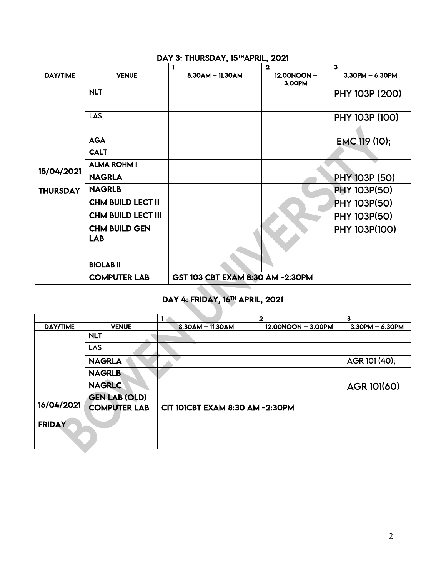|                 |                                    |                                  | $\mathbf{2}$         | $\overline{\mathbf{3}}$ |
|-----------------|------------------------------------|----------------------------------|----------------------|-------------------------|
| DAY/TIME        | <b>VENUE</b>                       | $8.30$ AM - 11.30AM              | 12.00NOON-<br>3.00PM | $3.30PM - 6.30PM$       |
|                 | <b>NLT</b>                         |                                  |                      | PHY 103P (200)          |
|                 | <b>LAS</b>                         |                                  |                      | PHY 103P (100)          |
|                 | <b>AGA</b>                         |                                  |                      | EMC 119 (10);           |
|                 | <b>CALT</b>                        |                                  |                      |                         |
| 15/04/2021      | <b>ALMA ROHM I</b>                 |                                  |                      |                         |
|                 | <b>NAGRLA</b>                      |                                  |                      | PHY 103P (50)           |
| <b>THURSDAY</b> | <b>NAGRLB</b>                      |                                  |                      | <b>PHY 103P(50)</b>     |
|                 | <b>CHM BUILD LECT II</b>           |                                  |                      | <b>PHY 103P(50)</b>     |
|                 | <b>CHM BUILD LECT III</b>          |                                  |                      | <b>PHY 103P(50)</b>     |
|                 | <b>CHM BUILD GEN</b><br><b>LAB</b> |                                  |                      | PHY 103P(100)           |
|                 |                                    |                                  |                      |                         |
|                 | <b>BIOLAB II</b>                   |                                  |                      |                         |
|                 | <b>COMPUTER LAB</b>                | GST 103 CBT EXAM 8:30 AM -2:30PM |                      |                         |
|                 |                                    |                                  |                      |                         |

#### DAY 3: THURSDAY, 15<sup>TH</sup>APRIL, 2021

# DAY 4: FRIDAY, 16TH APRIL, 2021

|                 |                      |                                 | $\overline{2}$     | $\mathbf{3}$      |
|-----------------|----------------------|---------------------------------|--------------------|-------------------|
| <b>DAY/TIME</b> | <b>VENUE</b>         | $8.30$ AM $-$ 11.30AM           | 12.00NOON - 3.00PM | $3.30PM - 6.30PM$ |
|                 | <b>NLT</b>           |                                 |                    |                   |
|                 | <b>LAS</b>           |                                 |                    |                   |
|                 | <b>NAGRLA</b>        |                                 |                    | AGR 101 (40);     |
|                 | <b>NAGRLB</b>        |                                 |                    |                   |
|                 | <b>NAGRLC</b>        |                                 |                    | AGR 101(60)       |
|                 | <b>GEN LAB (OLD)</b> |                                 |                    |                   |
| 16/04/2021      | <b>COMPUTER LAB</b>  | CIT 101CBT EXAM 8:30 AM -2:30PM |                    |                   |
| <b>FRIDAY</b>   |                      |                                 |                    |                   |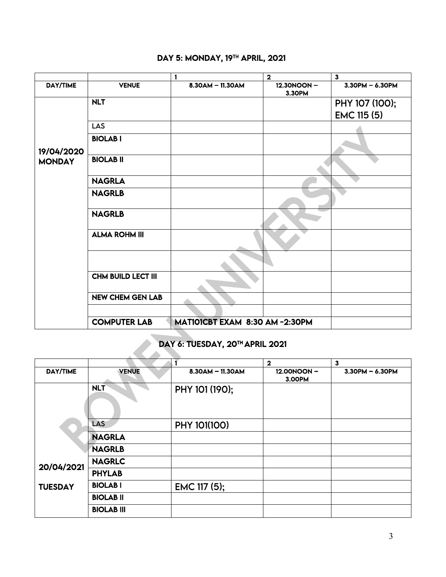|                 |                           |                               | $\overline{\mathbf{2}}$ | $\mathbf{3}$       |
|-----------------|---------------------------|-------------------------------|-------------------------|--------------------|
| <b>DAY/TIME</b> | <b>VENUE</b>              | 8.30AM - 11.30AM              | 12.30NOON-<br>3.30PM    | $3.30$ PM - 6.30PM |
|                 | <b>NLT</b>                |                               |                         | PHY 107 (100);     |
|                 |                           |                               |                         | <b>EMC 115 (5)</b> |
|                 | <b>LAS</b>                |                               |                         |                    |
| 19/04/2020      | <b>BIOLABI</b>            |                               |                         |                    |
| <b>MONDAY</b>   | <b>BIOLAB II</b>          |                               |                         |                    |
|                 | <b>NAGRLA</b>             |                               |                         |                    |
|                 | <b>NAGRLB</b>             |                               |                         |                    |
|                 | <b>NAGRLB</b>             |                               |                         |                    |
|                 | <b>ALMA ROHM III</b>      |                               |                         |                    |
|                 |                           |                               |                         |                    |
|                 | <b>CHM BUILD LECT III</b> |                               |                         |                    |
|                 | <b>NEW CHEM GEN LAB</b>   |                               |                         |                    |
|                 |                           |                               |                         |                    |
|                 | <b>COMPUTER LAB</b>       | MATIOICBT EXAM 8:30 AM-2:30PM |                         |                    |

# DAY 5: MONDAY, 19<sup>TH</sup> APRIL, 2021

# DAY 6: TUESDAY, 20<sup>TH</sup> APRIL 2021

|                 |                   |                    | $\mathbf{2}$         | $\mathbf{3}$          |
|-----------------|-------------------|--------------------|----------------------|-----------------------|
| <b>DAY/TIME</b> | <b>VENUE</b>      | $8.30AM - 11.30AM$ | 12.00NOON-<br>3.00PM | $3.30$ PM $- 6.30$ PM |
|                 | <b>NLT</b>        | PHY 101 (190);     |                      |                       |
|                 | LAS               | PHY 101(100)       |                      |                       |
|                 | <b>NAGRLA</b>     |                    |                      |                       |
|                 | <b>NAGRLB</b>     |                    |                      |                       |
| 20/04/2021      | <b>NAGRLC</b>     |                    |                      |                       |
|                 | <b>PHYLAB</b>     |                    |                      |                       |
| <b>TUESDAY</b>  | <b>BIOLABI</b>    | EMC 117 (5);       |                      |                       |
|                 | <b>BIOLAB II</b>  |                    |                      |                       |
|                 | <b>BIOLAB III</b> |                    |                      |                       |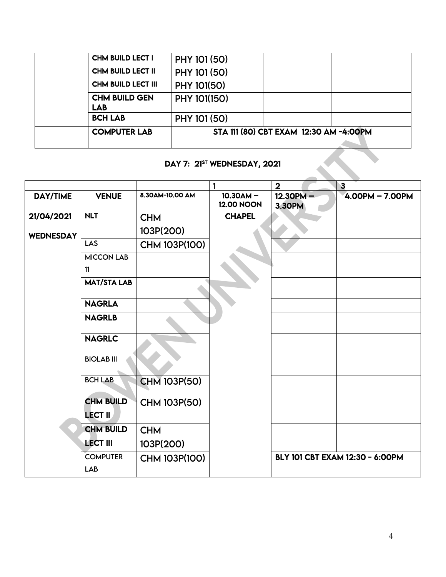| <b>COMPUTER LAB</b>                | STA 111 (80) CBT EXAM 12:30 AM -4:00PM |  |  |
|------------------------------------|----------------------------------------|--|--|
| <b>BCH LAB</b>                     | PHY 101 (50)                           |  |  |
| <b>CHM BUILD GEN</b><br><b>LAB</b> | PHY 101(150)                           |  |  |
| <b>CHM BUILD LECT III</b>          | PHY 101(50)                            |  |  |
| <b>CHM BUILD LECT II</b>           | PHY 101 (50)                           |  |  |
| <b>CHM BUILD LECT I</b>            | PHY 101 (50)                           |  |  |

# DAY 7: 21<sup>ST</sup> WEDNESDAY, 2021

|                  |                        |                      |                                  | $\overline{2}$               | $\overline{\mathbf{3}}$         |
|------------------|------------------------|----------------------|----------------------------------|------------------------------|---------------------------------|
| <b>DAY/TIME</b>  | <b>VENUE</b>           | 8.30AM-10.00 AM      | $10.30AM -$<br><b>12.00 NOON</b> | $12.30PM -$<br><b>3.30PM</b> | $4.00PM - 7.00PM$               |
| 21/04/2021       | <b>NLT</b>             | <b>CHM</b>           | <b>CHAPEL</b>                    |                              |                                 |
| <b>WEDNESDAY</b> |                        | 103P(200)            |                                  |                              |                                 |
|                  | LAS                    | CHM 103P(100)        |                                  |                              |                                 |
|                  | <b>MICCON LAB</b>      |                      |                                  |                              |                                 |
|                  | 11                     |                      |                                  |                              |                                 |
|                  | <b>MAT/STA LAB</b>     |                      |                                  |                              |                                 |
|                  | <b>NAGRLA</b>          |                      |                                  |                              |                                 |
|                  | <b>NAGRLB</b>          |                      |                                  |                              |                                 |
|                  | <b>NAGRLC</b>          |                      |                                  |                              |                                 |
|                  | <b>BIOLAB III</b>      |                      |                                  |                              |                                 |
|                  | <b>BCH LAB</b>         | <b>CHM 103P(50)</b>  |                                  |                              |                                 |
|                  | <b>CHM BUILD</b>       | <b>CHM 103P(50)</b>  |                                  |                              |                                 |
|                  | <b>LECT II</b>         |                      |                                  |                              |                                 |
|                  | <b>CHM BUILD</b>       | <b>CHM</b>           |                                  |                              |                                 |
|                  | <b>LECT III</b>        | 103P(200)            |                                  |                              |                                 |
|                  | <b>COMPUTER</b><br>LAB | <b>CHM 103P(100)</b> |                                  |                              | BLY 101 CBT EXAM 12:30 - 6:00PM |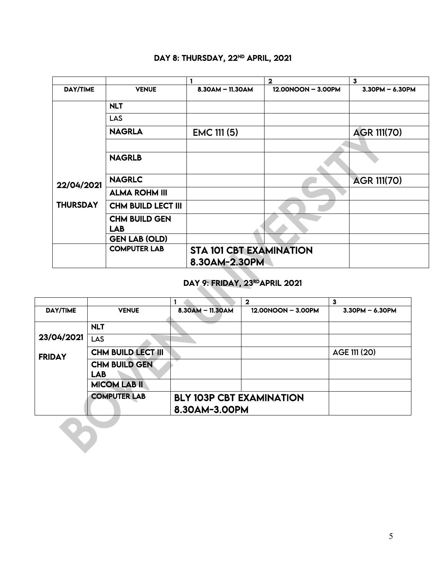|                 |                           |                                | $\mathbf{2}$       | $\mathbf{3}$       |
|-----------------|---------------------------|--------------------------------|--------------------|--------------------|
| DAY/TIME        | <b>VENUE</b>              | $8.30$ AM - 11.30AM            | 12.00NOON - 3.00PM | $3.30PM - 6.30PM$  |
|                 | <b>NLT</b>                |                                |                    |                    |
|                 | <b>LAS</b>                |                                |                    |                    |
|                 | <b>NAGRLA</b>             | <b>EMC 111 (5)</b>             |                    | <b>AGR 111(70)</b> |
|                 |                           |                                |                    |                    |
|                 | <b>NAGRLB</b>             |                                |                    |                    |
| 22/04/2021      | <b>NAGRLC</b>             |                                |                    | <b>AGR 111(70)</b> |
|                 | <b>ALMA ROHM III</b>      |                                |                    |                    |
| <b>THURSDAY</b> | <b>CHM BUILD LECT III</b> |                                |                    |                    |
|                 | <b>CHM BUILD GEN</b>      |                                |                    |                    |
|                 | <b>LAB</b>                |                                |                    |                    |
|                 | <b>GEN LAB (OLD)</b>      |                                |                    |                    |
|                 | <b>COMPUTER LAB</b>       | <b>STA 101 CBT EXAMINATION</b> |                    |                    |
|                 |                           | 8.30AM-2.30PM                  |                    |                    |

# DAY 8: THURSDAY, 22<sup>ND</sup> APRIL, 2021

#### DAY 9: FRIDAY, 23RDAPRIL 2021

|                 |                                    |                                                  | $\mathbf 2$        | 3                     |
|-----------------|------------------------------------|--------------------------------------------------|--------------------|-----------------------|
| <b>DAY/TIME</b> | <b>VENUE</b>                       | $8.30$ AM $-$ 11.30AM                            | 12.00NOON - 3.00PM | $3.30$ PM $- 6.30$ PM |
|                 | <b>NLT</b>                         |                                                  |                    |                       |
| 23/04/2021      | LAS                                |                                                  |                    |                       |
| <b>FRIDAY</b>   | <b>CHM BUILD LECT III</b>          |                                                  |                    | AGE 111 (20)          |
|                 | <b>CHM BUILD GEN</b><br><b>LAB</b> |                                                  |                    |                       |
|                 | <b>MICOM LAB II</b>                |                                                  |                    |                       |
|                 | <b>COMPUTER LAB</b>                | <b>BLY 103P CBT EXAMINATION</b><br>8.30AM-3.00PM |                    |                       |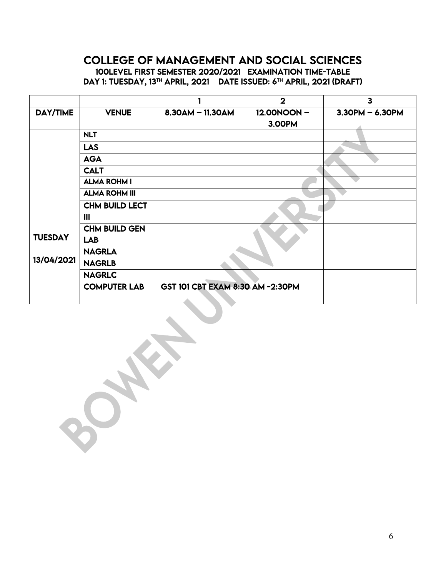# COLLEGE OF MANAGEMENT AND SOCIAL SCIENCES 100LEVEL FIRST SEMESTER 2020/2021 EXAMINATION TIME-TABLE DAY 1: TUESDAY, 13<sup>TH</sup> APRIL, 2021 DATE ISSUED: 6<sup>TH</sup> APRIL, 2021 (DRAFT)

|                 |                       |                                  | $\overline{2}$ | $\overline{\mathbf{3}}$ |
|-----------------|-----------------------|----------------------------------|----------------|-------------------------|
| <b>DAY/TIME</b> | <b>VENUE</b>          | $8.30AM - 11.30AM$               | 12.00NOON-     | $3.30$ PM $- 6.30$ PM   |
|                 |                       |                                  | <b>3.00PM</b>  |                         |
|                 | <b>NLT</b>            |                                  |                |                         |
|                 | <b>LAS</b>            |                                  |                |                         |
|                 | <b>AGA</b>            |                                  |                |                         |
|                 | <b>CALT</b>           |                                  |                |                         |
|                 | <b>ALMA ROHM I</b>    |                                  |                |                         |
|                 | <b>ALMA ROHM III</b>  |                                  |                |                         |
|                 | <b>CHM BUILD LECT</b> |                                  |                |                         |
|                 | $\mathbf{III}$        |                                  |                |                         |
|                 | <b>CHM BUILD GEN</b>  |                                  |                |                         |
| <b>TUESDAY</b>  | <b>LAB</b>            |                                  |                |                         |
|                 | <b>NAGRLA</b>         |                                  |                |                         |
| 13/04/2021      | <b>NAGRLB</b>         |                                  |                |                         |
|                 | <b>NAGRLC</b>         |                                  |                |                         |
|                 | <b>COMPUTER LAB</b>   | GST 101 CBT EXAM 8:30 AM -2:30PM |                |                         |
|                 |                       |                                  |                |                         |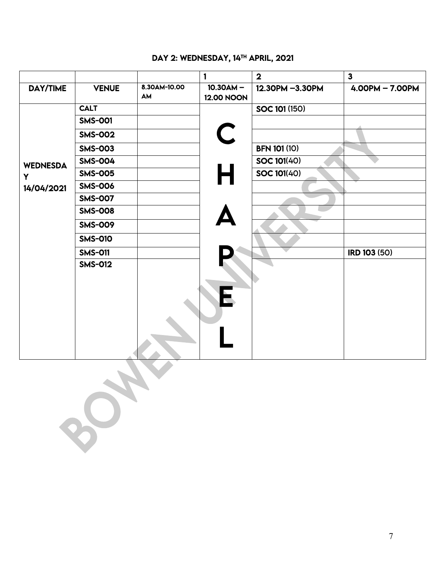#### DAY 2: WEDNESDAY, 14TH APRIL, 2021

|                 |                                          |                    | $\mathbf{1}$                     | $\overline{\mathbf{2}}$ | $\mathbf{3}$        |
|-----------------|------------------------------------------|--------------------|----------------------------------|-------------------------|---------------------|
| DAY/TIME        | <b>VENUE</b>                             | 8.30AM-10.00<br>AM | $10.30AM -$<br><b>12.00 NOON</b> | 12.30PM -3.30PM         | $4.00PM - 7.00PM$   |
|                 | <b>CALT</b>                              |                    |                                  | <b>SOC 101 (150)</b>    |                     |
|                 | <b>SMS-001</b>                           |                    |                                  |                         |                     |
|                 | <b>SMS-002</b>                           |                    | $\mathsf C$                      |                         |                     |
|                 | <b>SMS-003</b>                           |                    |                                  | <b>BFN 101 (10)</b>     |                     |
| <b>WEDNESDA</b> | <b>SMS-004</b>                           |                    |                                  | SOC 101(40)             |                     |
| Y               | <b>SMS-005</b>                           |                    | H                                | <b>SOC 101(40)</b>      |                     |
| 14/04/2021      | <b>SMS-006</b>                           |                    |                                  |                         |                     |
|                 | <b>SMS-007</b>                           |                    |                                  |                         |                     |
|                 | <b>SMS-008</b>                           |                    |                                  |                         |                     |
|                 | <b>SMS-009</b>                           |                    | Ą                                |                         |                     |
|                 | <b>SMS-010</b>                           |                    |                                  |                         |                     |
|                 | <b>SMS-011</b>                           |                    |                                  |                         | <b>IRD 103 (50)</b> |
|                 | <b>SMS-012</b>                           |                    | $\overline{\mathbf{E}}$          |                         |                     |
|                 | $\overline{\phantom{a}}$<br>$O_{\infty}$ |                    |                                  |                         |                     |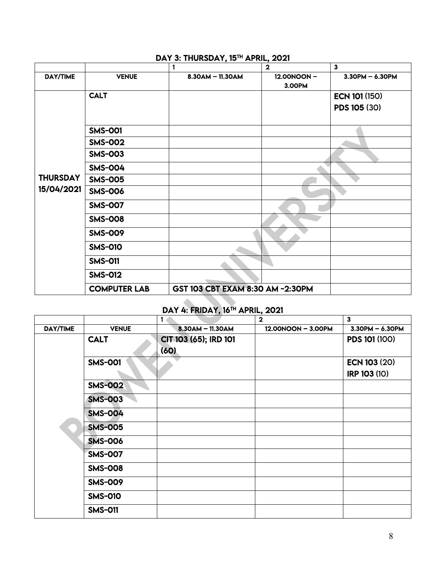|                 |                     | 1                                | $\overline{\mathbf{2}}$ | $\mathbf{3}$         |
|-----------------|---------------------|----------------------------------|-------------------------|----------------------|
| <b>DAY/TIME</b> | <b>VENUE</b>        | 8.30AM - 11.30AM                 | 12.00NOON-<br>3.00PM    | $3.30$ PM - 6.30PM   |
|                 | <b>CALT</b>         |                                  |                         | <b>ECN 101 (150)</b> |
|                 |                     |                                  |                         | PDS 105 (30)         |
|                 | <b>SMS-001</b>      |                                  |                         |                      |
|                 | <b>SMS-002</b>      |                                  |                         |                      |
|                 | <b>SMS-003</b>      |                                  |                         |                      |
|                 | <b>SMS-004</b>      |                                  |                         |                      |
| <b>THURSDAY</b> | <b>SMS-005</b>      |                                  |                         |                      |
| 15/04/2021      | <b>SMS-006</b>      |                                  |                         |                      |
|                 | <b>SMS-007</b>      |                                  |                         |                      |
|                 | <b>SMS-008</b>      |                                  |                         |                      |
|                 | <b>SMS-009</b>      |                                  |                         |                      |
|                 | <b>SMS-010</b>      |                                  |                         |                      |
|                 | <b>SMS-011</b>      |                                  |                         |                      |
|                 | <b>SMS-012</b>      |                                  |                         |                      |
|                 | <b>COMPUTER LAB</b> | GST 103 CBT EXAM 8:30 AM -2:30PM |                         |                      |

# DAY 3: THURSDAY, 15<sup>TH</sup> APRIL, 2021

#### I DAY 4: FRIDAY, 16TH APRIL, 2021

|          |                | 1                             | $\mathbf{2}$       | $\mathbf{3}$          |
|----------|----------------|-------------------------------|--------------------|-----------------------|
| DAY/TIME | <b>VENUE</b>   | 8.30AM - 11.30AM              | 12.00NOON - 3.00PM | $3.30$ PM $- 6.30$ PM |
|          | <b>CALT</b>    | CIT 103 (65); IRD 101<br>(60) |                    | <b>PDS 101 (100)</b>  |
|          | <b>SMS-001</b> |                               |                    | <b>ECN 103 (20)</b>   |
|          |                |                               |                    | <b>IRP 103 (10)</b>   |
|          | <b>SMS-002</b> |                               |                    |                       |
|          | <b>SMS-003</b> |                               |                    |                       |
|          | <b>SMS-004</b> |                               |                    |                       |
|          | <b>SMS-005</b> |                               |                    |                       |
|          | <b>SMS-006</b> |                               |                    |                       |
|          | <b>SMS-007</b> |                               |                    |                       |
|          | <b>SMS-008</b> |                               |                    |                       |
|          | <b>SMS-009</b> |                               |                    |                       |
|          | <b>SMS-010</b> |                               |                    |                       |
|          | <b>SMS-011</b> |                               |                    |                       |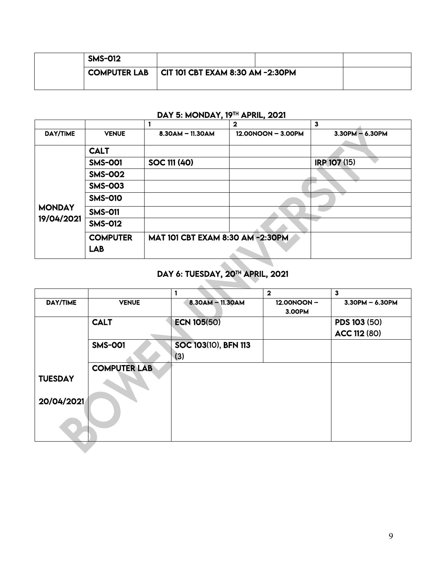| <b>SMS-012</b>      |                                         |  |  |
|---------------------|-----------------------------------------|--|--|
| <b>COMPUTER LAB</b> | $\mid$ CIT 101 CBT EXAM 8:30 AM -2:30PM |  |  |
|                     |                                         |  |  |

# DAY 5: MONDAY, 19TH APRIL, 2021

|                 |                 |                                  | $\mathbf{2}$       | 3                     |
|-----------------|-----------------|----------------------------------|--------------------|-----------------------|
| <b>DAY/TIME</b> | <b>VENUE</b>    | $8.30$ AM $-$ 11.30AM            | 12.00NOON - 3.00PM | $3.30$ PM $- 6.30$ PM |
|                 |                 |                                  |                    |                       |
|                 | <b>CALT</b>     |                                  |                    |                       |
|                 | <b>SMS-001</b>  | SOC 111 (40)                     |                    | IRP 107 (15)          |
|                 | <b>SMS-002</b>  |                                  |                    |                       |
|                 | <b>SMS-003</b>  |                                  |                    |                       |
|                 | <b>SMS-010</b>  |                                  |                    |                       |
| <b>MONDAY</b>   | <b>SMS-011</b>  |                                  |                    |                       |
| 19/04/2021      | <b>SMS-012</b>  |                                  |                    |                       |
|                 | <b>COMPUTER</b> | MAT 101 CBT EXAM 8:30 AM -2:30PM |                    |                       |
|                 | <b>LAB</b>      |                                  |                    |                       |

#### í DAY 6: TUESDAY, 20TH APRIL, 2021

|                 |                     |                      | $\mathbf{2}$         | $\mathbf{3}$        |
|-----------------|---------------------|----------------------|----------------------|---------------------|
| <b>DAY/TIME</b> | <b>VENUE</b>        | $8.30$ AM - 11.30AM  | 12.00NOON-<br>3.00PM | $3.30$ PM - 6.30PM  |
|                 | <b>CALT</b>         | <b>ECN 105(50)</b>   |                      | PDS 103 (50)        |
|                 |                     |                      |                      | <b>ACC 112 (80)</b> |
|                 | <b>SMS-001</b>      | SOC 103(10), BFN 113 |                      |                     |
|                 |                     | (3)                  |                      |                     |
|                 | <b>COMPUTER LAB</b> |                      |                      |                     |
| <b>TUESDAY</b>  |                     |                      |                      |                     |
| 20/04/2021      |                     |                      |                      |                     |
|                 |                     |                      |                      |                     |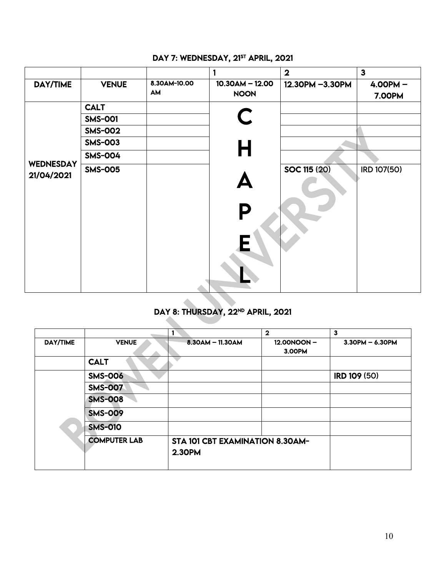|                                |                |                    |                                  | $\overline{2}$      | 3 <sup>1</sup>              |
|--------------------------------|----------------|--------------------|----------------------------------|---------------------|-----------------------------|
| DAY/TIME                       | <b>VENUE</b>   | 8.30AM-10.00<br>AM | $10.30AM - 12.00$<br><b>NOON</b> | 12.30PM -3.30PM     | $4.00PM -$<br><b>7.00PM</b> |
|                                | <b>CALT</b>    |                    |                                  |                     |                             |
|                                | <b>SMS-001</b> |                    | C                                |                     |                             |
|                                | <b>SMS-002</b> |                    |                                  |                     |                             |
|                                | <b>SMS-003</b> |                    | Н                                |                     |                             |
|                                | <b>SMS-004</b> |                    |                                  |                     |                             |
| <b>WEDNESDAY</b><br>21/04/2021 | <b>SMS-005</b> |                    | P<br>$\mathsf{E}$                | <b>SOC 115 (20)</b> | IRD 107(50)                 |

# DAY 7: WEDNESDAY, 21<sup>ST</sup> APRIL, 2021

# DAY 8: THURSDAY, 22<sup>ND</sup> APRIL, 2021

|          |                     |                                        | $\mathbf{2}$ | 3                   |
|----------|---------------------|----------------------------------------|--------------|---------------------|
| DAY/TIME | <b>VENUE</b>        | $-8.30$ AM $-$ 11.30AM                 | 12.00NOON-   | $3.30PM - 6.30PM$   |
|          |                     |                                        | 3.00PM       |                     |
|          | <b>CALT</b>         |                                        |              |                     |
|          | <b>SMS-006</b>      |                                        |              | <b>IRD 109 (50)</b> |
|          | <b>SMS-007</b>      |                                        |              |                     |
|          | <b>SMS-008</b>      |                                        |              |                     |
|          | <b>SMS-009</b>      |                                        |              |                     |
|          | <b>SMS-010</b>      |                                        |              |                     |
|          | <b>COMPUTER LAB</b> | <b>STA 101 CBT EXAMINATION 8.30AM-</b> |              |                     |
|          |                     | 2.30PM                                 |              |                     |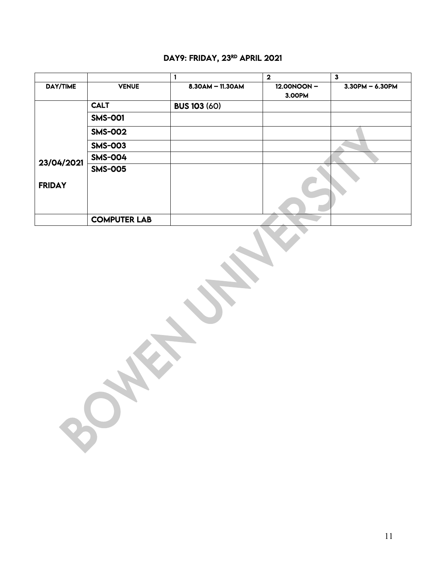#### DAY9: FRIDAY, 23RD APRIL 2021

|                 |                     |                     | $\mathbf{2}$         | $\mathbf{3}$          |
|-----------------|---------------------|---------------------|----------------------|-----------------------|
| <b>DAY/TIME</b> | <b>VENUE</b>        | $8.30AM - 11.30AM$  | 12.00NOON-<br>3.00PM | $3.30$ PM $- 6.30$ PM |
|                 | <b>CALT</b>         | <b>BUS 103 (60)</b> |                      |                       |
|                 | <b>SMS-001</b>      |                     |                      |                       |
|                 | <b>SMS-002</b>      |                     |                      |                       |
|                 | <b>SMS-003</b>      |                     |                      |                       |
| 23/04/2021      | <b>SMS-004</b>      |                     |                      |                       |
| <b>FRIDAY</b>   | <b>SMS-005</b>      |                     |                      |                       |
|                 |                     |                     |                      |                       |
|                 | <b>COMPUTER LAB</b> |                     |                      |                       |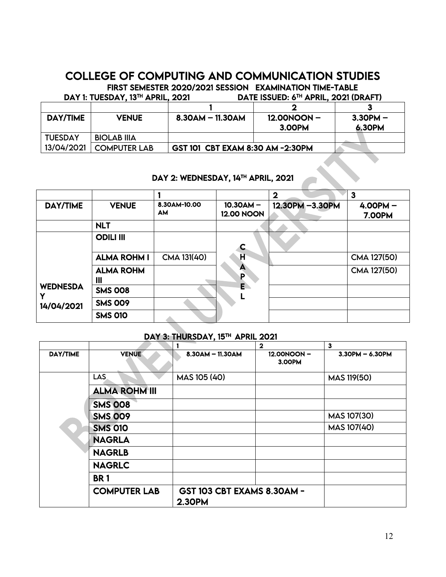# COLLEGE OF COMPUTING AND COMMUNICATION STUDIES FIRST SEMESTER 2020/2021 SESSION EXAMINATION TIME-TABLE

|                 | DAY 1: TUESDAY, 13 <sup>TH</sup> APRIL, 2021 |                                  | DATE ISSUED: 6 <sup>TH</sup> APRIL, 2021 (DRAFT) |               |
|-----------------|----------------------------------------------|----------------------------------|--------------------------------------------------|---------------|
|                 |                                              |                                  |                                                  |               |
| <b>DAY/TIME</b> | <b>VENUE</b>                                 | $8.30$ AM $-$ 11.30AM            | $12.00N$ ON -                                    | $3.3$ OPM $-$ |
|                 |                                              |                                  | 3.00PM                                           | 6.30PM        |
| <b>TUESDAY</b>  | <b>BIOLAB IIIA</b>                           |                                  |                                                  |               |
| 13/04/2021      | <b>COMPUTER LAB</b>                          | GST 101 CBT EXAM 8:30 AM -2:30PM |                                                  |               |

# DAY 2: WEDNESDAY, 14TH APRIL, 2021

|                 |                       |                           |                                  | $\mathbf{2}$    | 3                           |
|-----------------|-----------------------|---------------------------|----------------------------------|-----------------|-----------------------------|
| <b>DAY/TIME</b> | <b>VENUE</b>          | 8.30AM-10.00<br><b>AM</b> | $10.30AM -$<br><b>12.00 NOON</b> | 12.30PM -3.30PM | $4.00PM -$<br><b>7.00PM</b> |
|                 | <b>NLT</b>            |                           |                                  |                 |                             |
|                 | <b>ODILI III</b>      |                           |                                  |                 |                             |
|                 | <b>ALMA ROHM I</b>    | CMA 131(40)               | Ĥ                                |                 | CMA 127(50)                 |
|                 | <b>ALMA ROHM</b><br>Ш |                           | А<br>Þ                           |                 | CMA 127(50)                 |
| <b>WEDNESDA</b> | <b>SMS 008</b>        |                           | E.                               |                 |                             |
| 14/04/2021      | <b>SMS 009</b>        |                           |                                  |                 |                             |
|                 | <b>SMS 010</b>        |                           |                                  |                 |                             |

#### DAY 3: THURSDAY, 15TH APRIL 2021

|                 |                      |                                                    | $\overline{2}$       | 3                  |
|-----------------|----------------------|----------------------------------------------------|----------------------|--------------------|
| <b>DAY/TIME</b> | <b>VENUE</b>         | $8.30AM - 11.30AM$                                 | 12.00NOON-<br>3.00PM | $3.30PM - 6.30PM$  |
|                 | LAS                  | MAS 105 (40)                                       |                      | <b>MAS 119(50)</b> |
|                 | <b>ALMA ROHM III</b> |                                                    |                      |                    |
|                 | <b>SMS 008</b>       |                                                    |                      |                    |
|                 | <b>SMS 009</b>       |                                                    |                      | MAS 107(30)        |
|                 | <b>SMS 010</b>       |                                                    |                      | <b>MAS 107(40)</b> |
|                 | <b>NAGRLA</b>        |                                                    |                      |                    |
|                 | <b>NAGRLB</b>        |                                                    |                      |                    |
|                 | <b>NAGRLC</b>        |                                                    |                      |                    |
|                 | <b>BR1</b>           |                                                    |                      |                    |
|                 | <b>COMPUTER LAB</b>  | <b>GST 103 CBT EXAMS 8.30AM -</b><br><b>2.30PM</b> |                      |                    |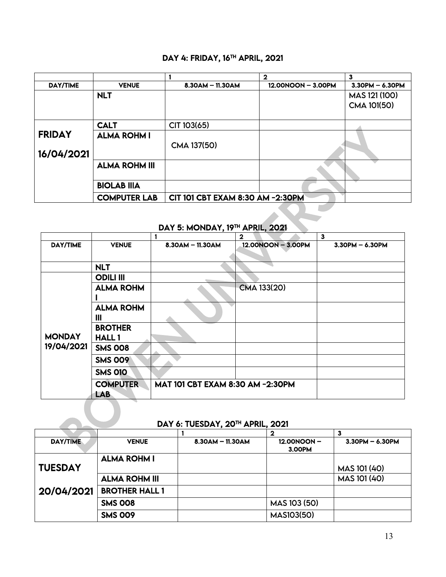#### DAY 4: FRIDAY, 16<sup>TH</sup> APRIL, 2021

|                 |                      |                                  | $\mathbf 2$        | 3                     |
|-----------------|----------------------|----------------------------------|--------------------|-----------------------|
| <b>DAY/TIME</b> | <b>VENUE</b>         | $8.30AM - 11.30AM$               | 12.00NOON - 3.00PM | $3.30$ PM $- 6.30$ PM |
|                 | <b>NLT</b>           |                                  |                    | MAS 121 (100)         |
|                 |                      |                                  |                    | CMA 101(50)           |
|                 |                      |                                  |                    |                       |
|                 | <b>CALT</b>          | CIT 103(65)                      |                    |                       |
| <b>FRIDAY</b>   | <b>ALMA ROHM I</b>   |                                  |                    |                       |
|                 |                      | CMA 137(50)                      |                    |                       |
| 16/04/2021      |                      |                                  |                    |                       |
|                 | <b>ALMA ROHM III</b> |                                  |                    |                       |
|                 |                      |                                  |                    |                       |
|                 | <b>BIOLAB IIIA</b>   |                                  |                    |                       |
|                 | <b>COMPUTER LAB</b>  | CIT 101 CBT EXAM 8:30 AM -2:30PM |                    |                       |
|                 |                      |                                  |                    |                       |

# DAY 5: MONDAY, 19TH APRIL, 2021

|               |                                |                                  | $\mathbf{2}$       | $\mathbf{3}$      |
|---------------|--------------------------------|----------------------------------|--------------------|-------------------|
| DAY/TIME      | <b>VENUE</b>                   | $8.30$ AM $-$ 11.30AM            | 12.00NOON - 3.00PM | $3.30PM - 6.30PM$ |
|               | <b>NLT</b>                     |                                  |                    |                   |
|               | <b>ODILI III</b>               |                                  |                    |                   |
|               | <b>ALMA ROHM</b>               |                                  | CMA 133(20)        |                   |
|               | <b>ALMA ROHM</b><br>Ш          |                                  |                    |                   |
| <b>MONDAY</b> | <b>BROTHER</b><br><b>HALL1</b> |                                  |                    |                   |
| 19/04/2021    | <b>SMS 008</b>                 |                                  |                    |                   |
|               | <b>SMS 009</b>                 |                                  |                    |                   |
|               | <b>SMS 010</b>                 |                                  |                    |                   |
|               | <b>COMPUTER</b><br>LAB.        | MAT 101 CBT EXAM 8:30 AM -2:30PM |                    |                   |

#### DAY 6: TUESDAY, 20TH APRIL, 2021

| <b>DAY/TIME</b> | <b>VENUE</b>          | $8.30$ AM $-$ 11.30AM | 12.00NOON-<br>3.00PM | $3.30PM - 6.30PM$ |
|-----------------|-----------------------|-----------------------|----------------------|-------------------|
|                 | <b>ALMA ROHM I</b>    |                       |                      |                   |
| <b>TUESDAY</b>  |                       |                       |                      | MAS 101 (40)      |
|                 | <b>ALMA ROHM III</b>  |                       |                      | MAS 101 (40)      |
| 20/04/2021      | <b>BROTHER HALL 1</b> |                       |                      |                   |
|                 | <b>SMS 008</b>        |                       | MAS 103 (50)         |                   |
|                 | <b>SMS 009</b>        |                       | <b>MAS103(50)</b>    |                   |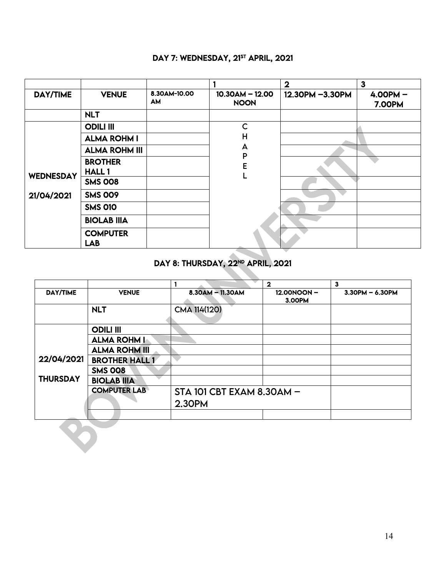# DAY 7: WEDNESDAY, 21<sup>ST</sup> APRIL, 2021

|                  |                               |                           |                                  | $\overline{\mathbf{2}}$ | $\mathbf{3}$                |
|------------------|-------------------------------|---------------------------|----------------------------------|-------------------------|-----------------------------|
| DAY/TIME         | <b>VENUE</b>                  | 8.30AM-10.00<br><b>AM</b> | $10.30AM - 12.00$<br><b>NOON</b> | 12.30PM -3.30PM         | $4.00PM -$<br><b>7.00PM</b> |
|                  | <b>NLT</b>                    |                           |                                  |                         |                             |
|                  | <b>ODILI III</b>              |                           | $\mathsf{C}$                     |                         |                             |
|                  | <b>ALMA ROHM I</b>            |                           | H                                |                         |                             |
|                  | <b>ALMA ROHM III</b>          |                           | A<br>P                           |                         |                             |
|                  | <b>BROTHER</b>                |                           | E                                |                         |                             |
| <b>WEDNESDAY</b> | <b>HALL1</b>                  |                           |                                  |                         |                             |
|                  | <b>SMS 008</b>                |                           |                                  |                         |                             |
| 21/04/2021       | <b>SMS 009</b>                |                           |                                  |                         |                             |
|                  | <b>SMS 010</b>                |                           |                                  |                         |                             |
|                  | <b>BIOLAB IIIA</b>            |                           |                                  |                         |                             |
|                  | <b>COMPUTER</b><br><b>LAB</b> |                           |                                  |                         |                             |

#### DAY 8: THURSDAY, 22<sup>ND</sup> APRIL, 2021

|                 |                       |                           | $\overline{\mathbf{2}}$ | 3                     |
|-----------------|-----------------------|---------------------------|-------------------------|-----------------------|
| <b>DAY/TIME</b> | <b>VENUE</b>          | $8.30$ AM - 11.30AM       | 12.00NOON-              | $3.30$ PM $- 6.30$ PM |
|                 |                       |                           | 3.00PM                  |                       |
|                 | <b>NLT</b>            | CMA 114(120)              |                         |                       |
|                 |                       |                           |                         |                       |
|                 | <b>ODILI III</b>      |                           |                         |                       |
|                 | <b>ALMA ROHM I</b>    |                           |                         |                       |
|                 | <b>ALMA ROHM III</b>  |                           |                         |                       |
| 22/04/2021      | <b>BROTHER HALL 1</b> |                           |                         |                       |
|                 | <b>SMS 008</b>        |                           |                         |                       |
| <b>THURSDAY</b> | <b>BIOLAB IIIA</b>    |                           |                         |                       |
|                 | <b>COMPUTER LAB</b>   | STA 101 CBT EXAM 8.30AM - |                         |                       |
|                 |                       | 2.30PM                    |                         |                       |
|                 |                       |                           |                         |                       |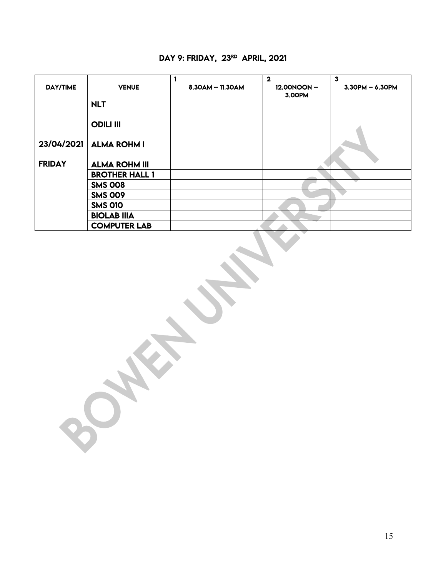# DAY 9: FRIDAY, 23RD APRIL, 2021

|                 |                       |                    | $\mathbf{2}$         | $\overline{\mathbf{3}}$ |
|-----------------|-----------------------|--------------------|----------------------|-------------------------|
| <b>DAY/TIME</b> | <b>VENUE</b>          | $8.30AM - 11.30AM$ | 12.00NOON-<br>3.00PM | $3.30$ PM $- 6.30$ PM   |
|                 | <b>NLT</b>            |                    |                      |                         |
|                 | <b>ODILI III</b>      |                    |                      |                         |
| 23/04/2021      | <b>ALMA ROHM I</b>    |                    |                      |                         |
| <b>FRIDAY</b>   | <b>ALMA ROHM III</b>  |                    |                      |                         |
|                 | <b>BROTHER HALL 1</b> |                    |                      |                         |
|                 | <b>SMS 008</b>        |                    |                      |                         |
|                 | <b>SMS 009</b>        |                    |                      |                         |
|                 | <b>SMS 010</b>        |                    |                      |                         |
|                 | <b>BIOLAB IIIA</b>    |                    |                      |                         |
|                 | <b>COMPUTER LAB</b>   |                    |                      |                         |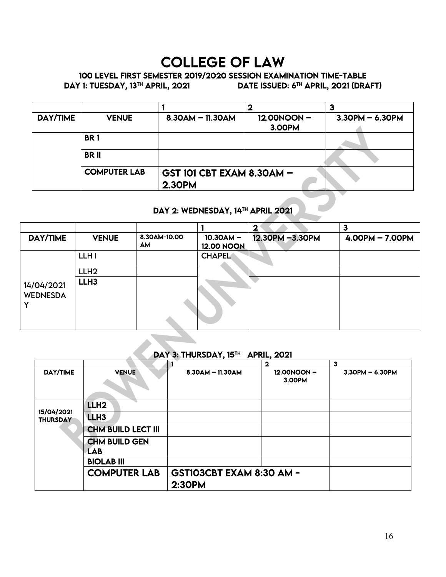# COLLEGE OF LAW

# 100 LEVEL FIRST SEMESTER 2019/2020 SESSION EXAMINATION TIME-TABLE<br>DAY 1: TUESDAY, 13<sup>TH</sup> APRIL, 2021

DATE ISSUED: 6TH APRIL, 2021 (DRAFT)

|                 |                     |                                                   | o                    | Ð                 |  |
|-----------------|---------------------|---------------------------------------------------|----------------------|-------------------|--|
| <b>DAY/TIME</b> | <b>VENUE</b>        | $8.30$ AM $-$ 11.30AM                             | 12.00NOON-<br>3.00PM | $3.30PM - 6.30PM$ |  |
|                 | <b>BR1</b>          |                                                   |                      |                   |  |
|                 | <b>BRII</b>         |                                                   |                      |                   |  |
|                 | <b>COMPUTER LAB</b> | <b>GST 101 CBT EXAM 8.30AM -</b><br><b>2.30PM</b> |                      |                   |  |

#### DAY 2: WEDNESDAY, 14TH APRIL 2021

|                               |                  |                           |                                  | $\mathbf{2}$    | 3                 |
|-------------------------------|------------------|---------------------------|----------------------------------|-----------------|-------------------|
| DAY/TIME                      | <b>VENUE</b>     | 8.30AM-10.00<br><b>AM</b> | $10.30AM -$<br><b>12.00 NOON</b> | 12.30PM -3.30PM | $4.00PM - 7.00PM$ |
|                               | LLH I            |                           | <b>CHAPEL</b>                    |                 |                   |
|                               | LLH <sub>2</sub> |                           |                                  |                 |                   |
| 14/04/2021<br><b>WEDNESDA</b> | LLH <sub>3</sub> |                           |                                  |                 |                   |

#### DAY 3: THURSDAY, 15TH APRIL, 2021

|                               |                           |                          | $\mathbf 2$          | 3                     |
|-------------------------------|---------------------------|--------------------------|----------------------|-----------------------|
| <b>DAY/TIME</b>               | <b>VENUE</b>              | $8.30$ AM $-$ 11.30AM    | 12.00NOON-<br>3.00PM | $3.30$ PM $- 6.30$ PM |
|                               | LLH <sub>2</sub>          |                          |                      |                       |
| 15/04/2021<br><b>THURSDAY</b> | LLH <sub>3</sub>          |                          |                      |                       |
|                               | <b>CHM BUILD LECT III</b> |                          |                      |                       |
|                               | <b>CHM BUILD GEN</b>      |                          |                      |                       |
|                               | LAB                       |                          |                      |                       |
|                               | <b>BIOLAB III</b>         |                          |                      |                       |
|                               | <b>COMPUTER LAB</b>       | GST103CBT EXAM 8:30 AM - |                      |                       |
|                               |                           | 2:30PM                   |                      |                       |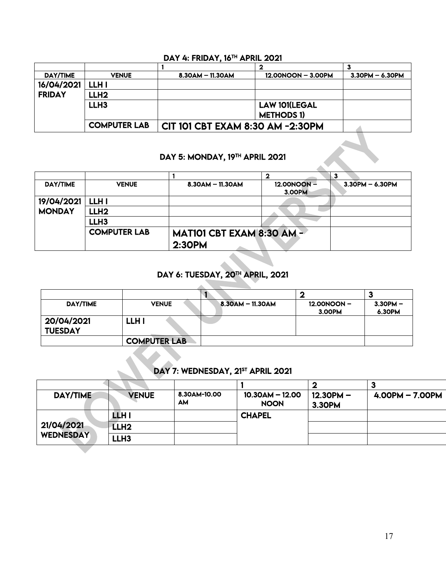#### DAY 4: FRIDAY, 16TH APRIL 2021

| <b>DAY/TIME</b> | <b>VENUE</b>        | $8.30$ AM $-$ 11.30AM            | 12.00NOON - 3.00PM   | $3.30$ PM $- 6.30$ PM |
|-----------------|---------------------|----------------------------------|----------------------|-----------------------|
| 16/04/2021      | LLH I               |                                  |                      |                       |
| <b>FRIDAY</b>   | LLH2                |                                  |                      |                       |
|                 | LLH <sub>3</sub>    |                                  | <b>LAW 101(LEGAL</b> |                       |
|                 |                     |                                  | <b>METHODS 1)</b>    |                       |
|                 | <b>COMPUTER LAB</b> | CIT 101 CBT EXAM 8:30 AM -2:30PM |                      |                       |

#### DAY 5: MONDAY, 19<sup>TH</sup> APRIL 2021

| <b>DAY/TIME</b> | <b>VENUE</b>        | $8.30$ AM $-$ 11.30AM            | 12.00NOON- | $3.30$ PM $- 6.30$ PM |
|-----------------|---------------------|----------------------------------|------------|-----------------------|
|                 |                     |                                  | 3.00PM     |                       |
| 19/04/2021      | LLH I               |                                  |            |                       |
| <b>MONDAY</b>   | LLH <sub>2</sub>    |                                  |            |                       |
|                 | LLH <sub>3</sub>    |                                  |            |                       |
|                 | <b>COMPUTER LAB</b> | <b>MAT101 CBT EXAM 8:30 AM -</b> |            |                       |
|                 |                     | 2:3OPM                           |            |                       |

#### Í DAY 6: TUESDAY, 20TH APRIL, 2021

| DAY/TIME                     | <b>VENUE</b>        | $8.30$ AM $-$ 11.30AM | 12.00NOON -<br>3.00PM | $3.30$ PM $-$<br>6.30PM |
|------------------------------|---------------------|-----------------------|-----------------------|-------------------------|
| 20/04/2021<br><b>TUESDAY</b> | LLH I               |                       |                       |                         |
|                              | <b>COMPUTER LAB</b> |                       |                       |                         |

# DAY 7: WEDNESDAY, 21<sup>st</sup> APRIL 2021

| DAY/TIME                       | <b>VENUE</b> | 8.30AM-10.00<br>AM | $10.30AM - 12.00$<br><b>NOON</b> | $12.3$ OPM $-$<br>3.30PM | $4.00$ PM $- 7.00$ PM |
|--------------------------------|--------------|--------------------|----------------------------------|--------------------------|-----------------------|
| 21/04/2021<br><b>WEDNESDAY</b> | LLH I        |                    | <b>CHAPEL</b>                    |                          |                       |
|                                | LLH2.        |                    |                                  |                          |                       |
|                                | LLH3         |                    |                                  |                          |                       |

 $\lambda$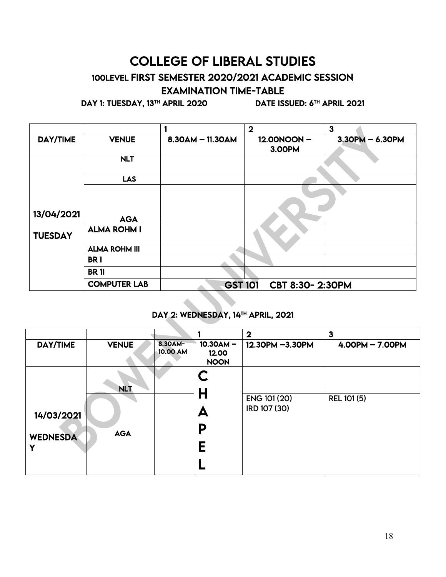# COLLEGE OF LIBERAL STUDIES

# 100LEVEL FIRST SEMESTER 2020/2021 ACADEMIC SESSION EXAMINATION TIME-TABLE

DAY 1: TUESDAY, 13<sup>TH</sup> APRIL 2020 DATE ISSUED: 6<sup>TH</sup> APRIL 2021

|                |                      |                    | $\mathbf 2$                 | $\mathbf{3}$      |
|----------------|----------------------|--------------------|-----------------------------|-------------------|
| DAY/TIME       | <b>VENUE</b>         | $8.30AM - 11.30AM$ | 12.00NOON-<br><b>3.00PM</b> | $3.30PM - 6.30PM$ |
|                | <b>NLT</b>           |                    |                             |                   |
|                | <b>LAS</b>           |                    |                             |                   |
|                |                      |                    |                             |                   |
| 13/04/2021     | <b>AGA</b>           |                    |                             |                   |
| <b>TUESDAY</b> | <b>ALMA ROHM I</b>   |                    |                             |                   |
|                | <b>ALMA ROHM III</b> |                    |                             |                   |
|                | <b>BRI</b>           |                    |                             |                   |
|                | <b>BR11</b>          |                    |                             |                   |
|                | <b>COMPUTER LAB</b>  | <b>GST 101</b>     | CBT 8:30-2:30PM             |                   |

#### DAY 2: WEDNESDAY, 14<sup>TH</sup> APRIL, 2021

|                 |              |                     |                                     | $\mathbf 2$                  | $\mathbf{3}$      |
|-----------------|--------------|---------------------|-------------------------------------|------------------------------|-------------------|
| DAY/TIME        | <b>VENUE</b> | 8.30AM-<br>10.00 AM | $10.30AM -$<br>12.00<br><b>NOON</b> | 12.30PM -3.30PM              | $4.00PM - 7.00PM$ |
|                 | <b>NLT</b>   |                     | C<br>Н                              |                              |                   |
| 14/03/2021      |              |                     | A                                   | ENG 101 (20)<br>IRD 107 (30) | REL 101 (5)       |
| <b>WEDNESDA</b> | <b>AGA</b>   |                     | Ρ<br>Е                              |                              |                   |
|                 |              |                     |                                     |                              |                   |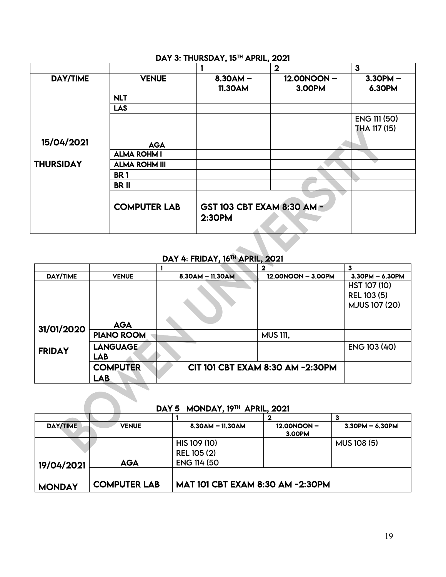#### DAY 3: THURSDAY, 15<sup>TH</sup> APRIL, 2021

|                  |                      |                                      | $\mathbf{2}$ | $\mathbf{3}$        |
|------------------|----------------------|--------------------------------------|--------------|---------------------|
| <b>DAY/TIME</b>  | <b>VENUE</b>         | $8.30AM -$                           | 12.00NOON-   | $3.30PM -$          |
|                  |                      | <b>11.30AM</b>                       | 3.00PM       | 6.30PM              |
|                  | <b>NLT</b>           |                                      |              |                     |
|                  | <b>LAS</b>           |                                      |              |                     |
|                  |                      |                                      |              | <b>ENG 111 (50)</b> |
|                  |                      |                                      |              | THA 117 (15)        |
| 15/04/2021       | <b>AGA</b>           |                                      |              |                     |
|                  | <b>ALMA ROHM I</b>   |                                      |              |                     |
| <b>THURSIDAY</b> | <b>ALMA ROHM III</b> |                                      |              |                     |
|                  | <b>BR1</b>           |                                      |              |                     |
|                  | <b>BRII</b>          |                                      |              |                     |
|                  | <b>COMPUTER LAB</b>  | GST 103 CBT EXAM 8:30 AM -<br>2:30PM |              |                     |

#### DAY 4: FRIDAY, 16TH APRIL, 2021

|                 |                               |                  |                                  | 3                                                          |
|-----------------|-------------------------------|------------------|----------------------------------|------------------------------------------------------------|
| <b>DAY/TIME</b> | <b>VENUE</b>                  | 8.30AM - 11.30AM | 12.00NOON - 3.00PM               | $3.30$ PM $- 6.30$ PM                                      |
|                 |                               |                  |                                  | HST 107 (10)<br><b>REL 103 (5)</b><br><b>MJUS 107 (20)</b> |
|                 | <b>AGA</b>                    |                  |                                  |                                                            |
| 31/01/2020      | <b>PIANO ROOM</b>             |                  | <b>MUS 111,</b>                  |                                                            |
| <b>FRIDAY</b>   | <b>LANGUAGE</b><br><b>LAB</b> |                  |                                  | ENG 103 (40)                                               |
|                 | <b>COMPUTER</b><br><b>LAB</b> |                  | CIT 101 CBT EXAM 8:30 AM -2:30PM |                                                            |

#### DAY 5 MONDAY, 19TH APRIL, 2021

| <b>DAY/TIME</b> | <b>VENUE</b>        | $8.30$ AM - 11.30AM                     | 12.00NOON-<br>3.00PM | $3.30$ PM $- 6.30$ PM |  |
|-----------------|---------------------|-----------------------------------------|----------------------|-----------------------|--|
|                 |                     | HIS 109 (10)                            |                      | <b>MUS 108 (5)</b>    |  |
|                 |                     | <b>REL 105 (2)</b>                      |                      |                       |  |
| 19/04/2021      | <b>AGA</b>          | <b>ENG 114 (50)</b>                     |                      |                       |  |
|                 |                     |                                         |                      |                       |  |
| <b>MONDAY</b>   | <b>COMPUTER LAB</b> | <b>MAT 101 CBT EXAM 8:30 AM -2:30PM</b> |                      |                       |  |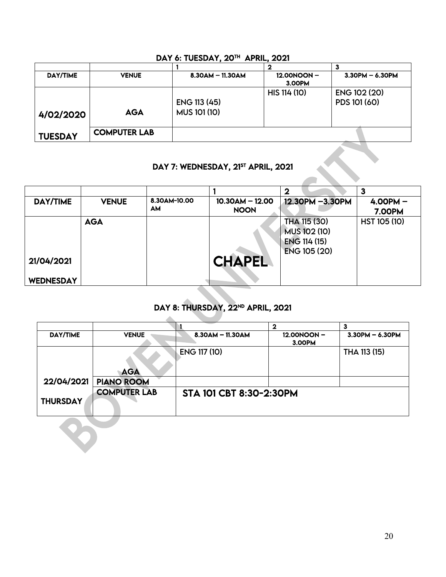| m IVIII ауді   |                     |                                     |                      |                              |  |
|----------------|---------------------|-------------------------------------|----------------------|------------------------------|--|
|                |                     |                                     |                      |                              |  |
| DAY/TIME       | <b>VENUE</b>        | $8.30$ AM $-$ 11.30AM               | 12.00NOON-<br>3.00PM | $3.30$ PM $- 6.30$ PM        |  |
| 4/02/2020      | <b>AGA</b>          | ENG 113 (45)<br><b>MUS 101 (10)</b> | HIS 114 (10)         | ENG 102 (20)<br>PDS 101 (60) |  |
| <b>TUESDAY</b> | <b>COMPUTER LAB</b> |                                     |                      |                              |  |

#### DAY 6: TUESDAY, 20TH APRIL, 2021

#### DAY 7: WEDNESDAY, 21<sup>st</sup> APRIL, 2021

|                  |              |                    | DAY 7: WEDNESDAY, 21ST APRIL, 2021 |                                                                     |                             |
|------------------|--------------|--------------------|------------------------------------|---------------------------------------------------------------------|-----------------------------|
|                  |              |                    |                                    | $\mathbf 2$                                                         | $\mathbf{3}$                |
| DAY/TIME         | <b>VENUE</b> | 8.30AM-10.00<br>AM | $10.30AM - 12.00$<br><b>NOON</b>   | 12.30PM -3.30PM                                                     | $4.00PM -$<br><b>7.00PM</b> |
|                  | <b>AGA</b>   |                    |                                    | THA 115 (30)<br>MUS 102 (10)<br>ENG 114 (15)<br><b>ENG 105 (20)</b> | HST 105 (10)                |
| 21/04/2021       |              |                    | <b>CHAPEL</b>                      |                                                                     |                             |
| <b>WEDNESDAY</b> |              |                    |                                    |                                                                     |                             |

#### J DAY 8: THURSDAY, 22ND APRIL, 2021

|                 |                     |                         | $\mathbf 2$          | 3                 |
|-----------------|---------------------|-------------------------|----------------------|-------------------|
| <b>DAY/TIME</b> | <b>VENUE</b>        | $8.30$ AM $-$ 11.30AM   | 12.00NOON-<br>3.00PM | $3.30PM - 6.30PM$ |
|                 | <b>AGA</b>          | ENG 117 (10)            |                      | THA 113 (15)      |
| 22/04/2021      | <b>PIANO ROOM</b>   |                         |                      |                   |
| <b>THURSDAY</b> | <b>COMPUTER LAB</b> | STA 101 CBT 8:30-2:30PM |                      |                   |